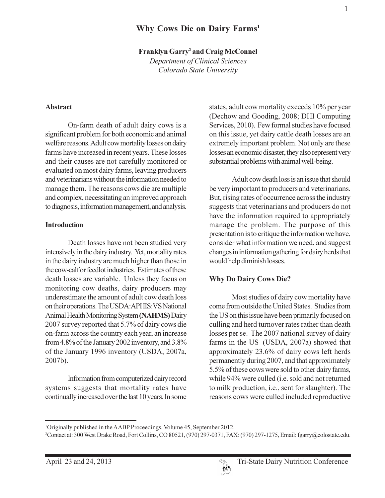# Why Cows Die on Dairy Farms<sup>1</sup>

#### **Franklyn Garry<sup>2</sup>** and Craig McConnel

Department of Clinical Sciences Colorado State University

#### **Abstract**

On-farm death of adult dairy cows is a significant problem for both economic and animal welfare reasons. Adult cow mortality losses on dairy farms have increased in recent years. These losses and their causes are not carefully monitored or evaluated on most dairy farms, leaving producers and veterinarians without the information needed to manage them. The reasons cows die are multiple and complex, necessitating an improved approach to diagnosis, information management, and analysis.

#### **Introduction**

Death losses have not been studied very intensively in the dairy industry. Yet, mortality rates in the dairy industry are much higher than those in the cow-calf or feedlot industries. Estimates of these death losses are variable. Unless they focus on monitoring cow deaths, dairy producers may underestimate the amount of adult cow death loss on their operations. The USDA: APHIS: VS National Animal Health Monitoring System (NAHMS) Dairy 2007 survey reported that 5.7% of dairy cows die on-farm across the country each year, an increase from 4.8% of the January 2002 inventory, and 3.8% of the January 1996 inventory (USDA, 2007a, 2007b).

Information from computerized dairy record systems suggests that mortality rates have continually increased over the last 10 years. In some states, adult cow mortality exceeds 10% per year (Dechow and Gooding, 2008; DHI Computing) Services, 2010). Few formal studies have focused on this issue, yet dairy cattle death losses are an extremely important problem. Not only are these losses an economic disaster, they also represent very substantial problems with animal well-being.

Adult cow death loss is an issue that should be very important to producers and veterinarians. But, rising rates of occurrence across the industry suggests that veterinarians and producers do not have the information required to appropriately manage the problem. The purpose of this presentation is to critique the information we have, consider what information we need, and suggest changes in information gathering for dairy herds that would help diminish losses.

#### **Why Do Dairy Cows Die?**

Most studies of dairy cow mortality have come from outside the United States. Studies from the US on this issue have been primarily focused on culling and herd turnover rates rather than death losses per se. The 2007 national survey of dairy farms in the US (USDA, 2007a) showed that approximately 23.6% of dairy cows left herds permanently during 2007, and that approximately 5.5% of these cows were sold to other dairy farms, while 94% were culled (i.e. sold and not returned to milk production, *i.e.*, sent for slaughter). The reasons cows were culled included reproductive

<sup>&</sup>lt;sup>1</sup>Originally published in the AABP Proceedings, Volume 45, September 2012.

<sup>&</sup>lt;sup>2</sup>Contact at: 300 West Drake Road, Fort Collins, CO 80521, (970) 297-0371, FAX: (970) 297-1275, Email: fgarry@colostate.edu.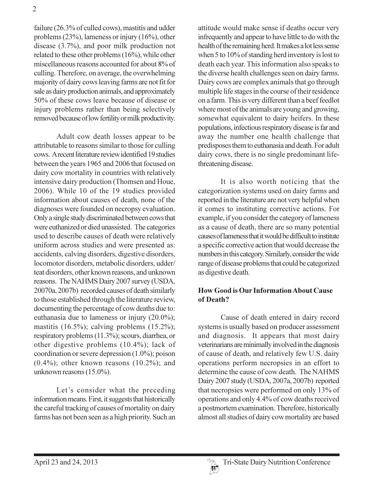failure (26.3% of culled cows), mastitis and udder problems  $(23\%)$ , lameness or injury  $(16\%)$ , other disease  $(3.7\%)$ , and poor milk production not related to these other problems (16%), while other miscellaneous reasons accounted for about 8% of culling. Therefore, on average, the overwhelming majority of dairy cows leaving farms are not fit for sale as dairy production animals, and approximately 50% of these cows leave because of disease or injury problems rather than being selectively removed because of low fertility or milk productivity.

Adult cow death losses appear to be attributable to reasons similar to those for culling cows. A recent literature review identified 19 studies between the years 1965 and 2006 that focused on dairy cow mortality in countries with relatively intensive dairy production (Thomsen and Houe, 2006). While 10 of the 19 studies provided information about causes of death, none of the diagnoses were founded on necropsy evaluation. Only a single study discriminated between cows that were euthanized or died unassisted. The categories used to describe causes of death were relatively uniform across studies and were presented as: accidents, calving disorders, digestive disorders, locomotor disorders, metabolic disorders, udder/ teat disorders, other known reasons, and unknown reasons. The NAHMS Dairy 2007 survey (USDA, 20070a, 2007b) recorded causes of death similarly to those established through the literature review, documenting the percentage of cow deaths due to: euthanasia due to lameness or injury  $(20.0\%)$ ; mastitis  $(16.5\%)$ ; calving problems  $(15.2\%)$ ; respiratory problems (11.3%); scours, diarrhea, or other digestive problems (10.4%); lack of coordination or severe depression  $(1.0\%)$ ; poison  $(0.4\%)$ ; other known reasons  $(10.2\%)$ ; and unknown reasons (15.0%).

Let's consider what the preceding information means. First, it suggests that historically the careful tracking of causes of mortality on dairy farms has not been seen as a high priority. Such an attitude would make sense if deaths occur very infrequently and appear to have little to do with the health of the remaining herd. It makes a lot less sense when 5 to 10% of standing herd inventory is lost to death each year. This information also speaks to the diverse health challenges seen on dairy farms. Dairy cows are complex animals that go through multiple life stages in the course of their residence on a farm. This is very different than a beef feedlot where most of the animals are young and growing, somewhat equivalent to dairy heifers. In these populations, infectious respiratory disease is far and away the number one health challenge that predisposes them to euthanasia and death. For adult dairy cows, there is no single predominant lifethreatening disease.

It is also worth noticing that the categorization systems used on dairy farms and reported in the literature are not very helpful when it comes to instituting corrective actions. For example, if you consider the category of lameness as a cause of death, there are so many potential causes of lameness that it would be difficult to institute a specific corrective action that would decrease the numbers in this category. Similarly, consider the wide range of disease problems that could be categorized as digestive death.

## **How Good is Our Information About Cause** of Death?

Cause of death entered in dairy record systems is usually based on producer assessment and diagnosis. It appears that most dairy veterinarians are minimally involved in the diagnosis of cause of death, and relatively few U.S. dairy operations perform necropsies in an effort to determine the cause of cow death. The NAHMS Dairy 2007 study (USDA, 2007a, 2007b) reported that necropsies were performed on only 13% of operations and only 4.4% of cow deaths received a postmortem examination. Therefore, historically almost all studies of dairy cow mortality are based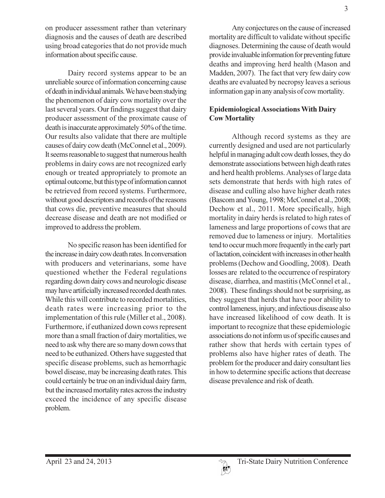on producer assessment rather than veterinary diagnosis and the causes of death are described using broad categories that do not provide much information about specific cause.

Dairy record systems appear to be an unreliable source of information concerning cause of death in individual animals. We have been studying the phenomenon of dairy cow mortality over the last several years. Our findings suggest that dairy producer assessment of the proximate cause of death is inaccurate approximately 50% of the time. Our results also validate that there are multiple causes of dairy cow death (McConnel et al., 2009). It seems reasonable to suggest that numerous health problems in dairy cows are not recognized early enough or treated appropriately to promote an optimal outcome, but this type of information cannot be retrieved from record systems. Furthermore, without good descriptors and records of the reasons that cows die, preventive measures that should decrease disease and death are not modified or improved to address the problem.

No specific reason has been identified for the increase in dairy cow death rates. In conversation with producers and veterinarians, some have questioned whether the Federal regulations regarding down dairy cows and neurologic disease may have artificially increased recorded death rates. While this will contribute to recorded mortalities, death rates were increasing prior to the implementation of this rule (Miller et al., 2008). Furthermore, if euthanized down cows represent more than a small fraction of dairy mortalities, we need to ask why there are so many down cows that need to be euthanized. Others have suggested that specific disease problems, such as hemorrhagic bowel disease, may be increasing death rates. This could certainly be true on an individual dairy farm, but the increased mortality rates across the industry exceed the incidence of any specific disease problem.

Any conjectures on the cause of increased mortality are difficult to validate without specific diagnoses. Determining the cause of death would provide invaluable information for preventing future deaths and improving herd health (Mason and Madden, 2007). The fact that very few dairy cow deaths are evaluated by necropsy leaves a serious information gap in any analysis of cow mortality.

## **Epidemiological Associations With Dairy Cow Mortality**

Although record systems as they are currently designed and used are not particularly helpful in managing adult cow death losses, they do demonstrate associations between high death rates and herd health problems. Analyses of large data sets demonstrate that herds with high rates of disease and culling also have higher death rates (Bascom and Young, 1998; McConnel et al., 2008; Dechow et al., 2011. More specifically, high mortality in dairy herds is related to high rates of lameness and large proportions of cows that are removed due to lameness or injury. Mortalities tend to occur much more frequently in the early part of lactation, coincident with increases in other health problems (Dechow and Goodling, 2008). Death losses are related to the occurrence of respiratory disease, diarrhea, and mastitis (McConnel et al., 2008). These findings should not be surprising, as they suggest that herds that have poor ability to control lameness, injury, and infectious disease also have increased likelihood of cow death. It is important to recognize that these epidemiologic associations do not inform us of specific causes and rather show that herds with certain types of problems also have higher rates of death. The problem for the producer and dairy consultant lies in how to determine specific actions that decrease disease prevalence and risk of death.

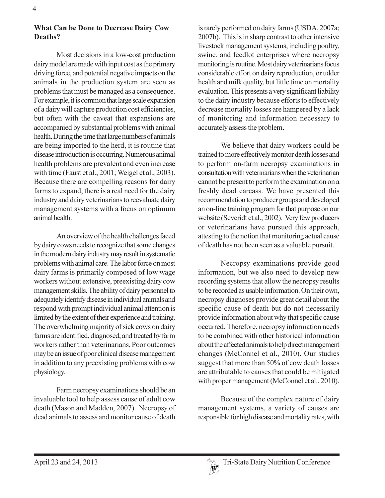# **What Can be Done to Decrease Dairy Cow** Deaths?

Most decisions in a low-cost production dairy model are made with input cost as the primary driving force, and potential negative impacts on the animals in the production system are seen as problems that must be managed as a consequence. For example, it is common that large scale expansion of a dairy will capture production cost efficiencies, but often with the caveat that expansions are accompanied by substantial problems with animal health. During the time that large numbers of animals are being imported to the herd, it is routine that disease introduction is occurring. Numerous animal health problems are prevalent and even increase with time (Faust et al., 2001; Weigel et al., 2003). Because there are compelling reasons for dairy farms to expand, there is a real need for the dairy industry and dairy veterinarians to reevaluate dairy management systems with a focus on optimum animal health.

An overview of the health challenges faced by dairy cows needs to recognize that some changes in the modern dairy industry may result in systematic problems with animal care. The labor force on most dairy farms is primarily composed of low wage workers without extensive, preexisting dairy cow management skills. The ability of dairy personnel to adequately identify disease in individual animals and respond with prompt individual animal attention is limited by the extent of their experience and training. The overwhelming majority of sick cows on dairy farms are identified, diagnosed, and treated by farm workers rather than veterinarians. Poor outcomes may be an issue of poor clinical disease management in addition to any preexisting problems with cow physiology.

Farm necropsy examinations should be an invaluable tool to help assess cause of adult cow death (Mason and Madden, 2007). Necropsy of dead animals to assess and monitor cause of death

is rarely performed on dairy farms (USDA, 2007a; 2007b). This is in sharp contrast to other intensive livestock management systems, including poultry, swine, and feedlot enterprises where necropsy monitoring is routine. Most dairy veterinarians focus considerable effort on dairy reproduction, or udder health and milk quality, but little time on mortality evaluation. This presents a very significant liability to the dairy industry because efforts to effectively decrease mortality losses are hampered by a lack of monitoring and information necessary to accurately assess the problem.

We believe that dairy workers could be trained to more effectively monitor death losses and to perform on-farm necropsy examinations in consultation with veterinarians when the veterinarian cannot be present to perform the examination on a freshly dead carcass. We have presented this recommendation to producer groups and developed an on-line training program for that purpose on our website (Severidt et al., 2002). Very few producers or veterinarians have pursued this approach, attesting to the notion that monitoring actual cause of death has not been seen as a valuable pursuit.

Necropsy examinations provide good information, but we also need to develop new recording systems that allow the necropsy results to be recorded as usable information. On their own. necropsy diagnoses provide great detail about the specific cause of death but do not necessarily provide information about why that specific cause occurred. Therefore, necropsy information needs to be combined with other historical information about the affected animals to help direct management changes (McConnel et al., 2010). Our studies suggest that more than 50% of cow death losses are attributable to causes that could be mitigated with proper management (McConnel et al., 2010).

Because of the complex nature of dairy management systems, a variety of causes are responsible for high disease and mortality rates, with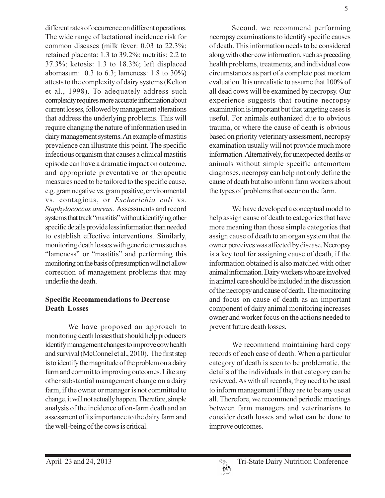different rates of occurrence on different operations. The wide range of lactational incidence risk for common diseases (milk fever: 0.03 to 22.3%; retained placenta: 1.3 to 39.2%; metritis: 2.2 to 37.3%; ketosis: 1.3 to 18.3%; left displaced abomasum:  $0.3$  to  $6.3$ ; lameness:  $1.8$  to  $30\%$ ) attests to the complexity of dairy systems (Kelton et al., 1998). To adequately address such complexity requires more accurate information about current losses, followed by management alterations that address the underlying problems. This will require changing the nature of information used in dairy management systems. An example of mastitis prevalence can illustrate this point. The specific infectious organism that causes a clinical mastitis episode can have a dramatic impact on outcome, and appropriate preventative or therapeutic measures need to be tailored to the specific cause, e.g. gram negative vs. gram positive, environmental vs. contagious, or Escherichia coli vs. Staphylococcus aureus. Assessments and record systems that track "mastitis" without identifying other specific details provide less information than needed to establish effective interventions. Similarly, monitoring death losses with generic terms such as "lameness" or "mastitis" and performing this monitoring on the basis of presumption will not allow correction of management problems that may underlie the death.

## **Specific Recommendations to Decrease Death Losses**

We have proposed an approach to monitoring death losses that should help producers identify management changes to improve cow health and survival (McConnel et al., 2010). The first step is to identify the magnitude of the problem on a dairy farm and commit to improving outcomes. Like any other substantial management change on a dairy farm, if the owner or manager is not committed to change, it will not actually happen. Therefore, simple analysis of the incidence of on-farm death and an assessment of its importance to the dairy farm and the well-being of the cows is critical.



5

Second, we recommend performing necropsy examinations to identify specific causes of death. This information needs to be considered along with other cow information, such as preceding health problems, treatments, and individual cow circumstances as part of a complete post mortem evaluation. It is unrealistic to assume that 100% of all dead cows will be examined by necropsy. Our experience suggests that routine necropsy examination is important but that targeting cases is useful. For animals euthanized due to obvious trauma, or where the cause of death is obvious based on priority veterinary assessment, necropsy examination usually will not provide much more information. Alternatively, for unexpected deaths or animals without simple specific antemortem diagnoses, necropsy can help not only define the cause of death but also inform farm workers about the types of problems that occur on the farm.

We have developed a conceptual model to help assign cause of death to categories that have more meaning than those simple categories that assign cause of death to an organ system that the owner perceives was affected by disease. Necropsy is a key tool for assigning cause of death, if the information obtained is also matched with other animal information. Dairy workers who are involved in animal care should be included in the discussion of the necropsy and cause of death. The monitoring and focus on cause of death as an important component of dairy animal monitoring increases owner and worker focus on the actions needed to prevent future death losses.

We recommend maintaining hard copy records of each case of death. When a particular category of death is seen to be problematic, the details of the individuals in that category can be reviewed. As with all records, they need to be used to inform management if they are to be any use at all. Therefore, we recommend periodic meetings between farm managers and veterinarians to consider death losses and what can be done to improve outcomes.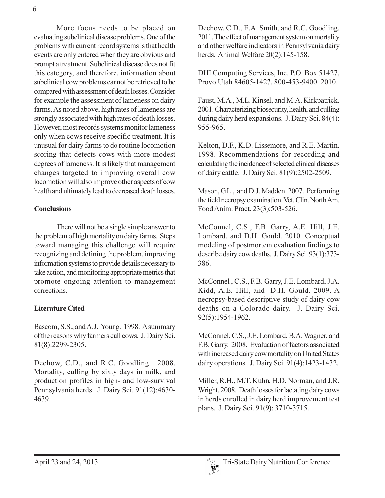More focus needs to be placed on evaluating subclinical disease problems. One of the problems with current record systems is that health events are only entered when they are obvious and prompt a treatment. Subclinical disease does not fit this category, and therefore, information about subclinical cow problems cannot be retrieved to be compared with assessment of death losses. Consider for example the assessment of lameness on dairy farms. As noted above, high rates of lameness are strongly associated with high rates of death losses. However, most records systems monitor lameness only when cows receive specific treatment. It is unusual for dairy farms to do routine locomotion scoring that detects cows with more modest degrees of lameness. It is likely that management changes targeted to improving overall cow locomotion will also improve other aspects of cow health and ultimately lead to decreased death losses.

#### **Conclusions**

There will not be a single simple answer to the problem of high mortality on dairy farms. Steps toward managing this challenge will require recognizing and defining the problem, improving information systems to provide details necessary to take action, and monitoring appropriate metrics that promote ongoing attention to management corrections.

### **Literature Cited**

Bascom, S.S., and A.J. Young. 1998. A summary of the reasons why farmers cull cows. J. Dairy Sci. 81(8):2299-2305.

Dechow, C.D., and R.C. Goodling. 2008. Mortality, culling by sixty days in milk, and production profiles in high- and low-survival Pennsylvania herds. J. Dairy Sci. 91(12):4630-4639.

Dechow, C.D., E.A. Smith, and R.C. Goodling. 2011. The effect of management system on mortality and other welfare indicators in Pennsylvania dairy herds. Animal Welfare 20(2):145-158.

DHI Computing Services, Inc. P.O. Box 51427. Provo Utah 84605-1427, 800-453-9400. 2010.

Faust, M.A., M.L. Kinsel, and M.A. Kirkpatrick. 2001. Characterizing biosecurity, health, and culling during dairy herd expansions. J. Dairy Sci. 84(4): 955-965.

Kelton, D.F., K.D. Lissemore, and R.E. Martin. 1998. Recommendations for recording and calculating the incidence of selected clinical diseases of dairy cattle. J. Dairy Sci. 81(9):2502-2509.

Mason, G.L., and D.J. Madden. 2007. Performing the field necropsy examination. Vet. Clin. North Am. Food Anim. Pract. 23(3):503-526.

McConnel, C.S., F.B. Garry, A.E. Hill, J.E. Lombard, and D.H. Gould. 2010. Conceptual modeling of postmortem evaluation findings to describe dairy cow deaths. J. Dairy Sci. 93(1):373-386.

McConnel, C.S., F.B. Garry, J.E. Lombard, J.A. Kidd, A.E. Hill, and D.H. Gould. 2009. A necropsy-based descriptive study of dairy cow deaths on a Colorado dairy. J. Dairy Sci. 92(5):1954-1962.

McConnel, C.S., J.E. Lombard, B.A. Wagner, and F.B. Garry. 2008. Evaluation of factors associated with increased dairy cow mortality on United States dairy operations. J. Dairy Sci. 91(4):1423-1432.

Miller, R.H., M.T. Kuhn, H.D. Norman, and J.R. Wright. 2008. Death losses for lactating dairy cows in herds enrolled in dairy herd improvement test plans. J. Dairy Sci. 91(9): 3710-3715.